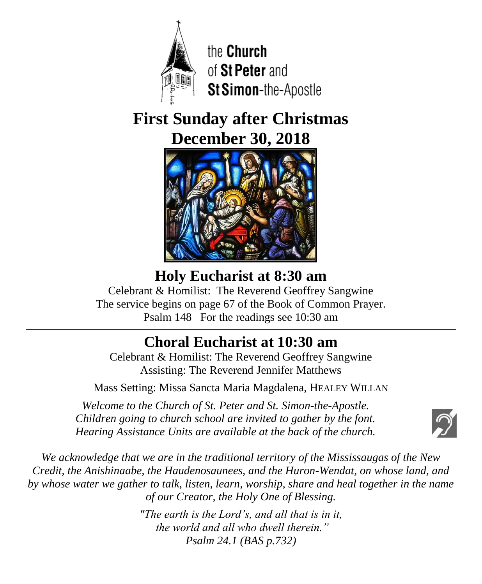

the Church of St Peter and St Simon-the-Apostle

**First Sunday after Christmas December 30, 2018**



# **Holy Eucharist at 8:30 am**

Celebrant & Homilist: The Reverend Geoffrey Sangwine The service begins on page 67 of the Book of Common Prayer. Psalm 148 For the readings see 10:30 am

# **Choral Eucharist at 10:30 am**

Celebrant & Homilist: The Reverend Geoffrey Sangwine Assisting: The Reverend Jennifer Matthews

Mass Setting: Missa Sancta Maria Magdalena, HEALEY WILLAN

*Welcome to the Church of St. Peter and St. Simon-the-Apostle. Children going to church school are invited to gather by the font. Hearing Assistance Units are available at the back of the church.*



*We acknowledge that we are in the traditional territory of the Mississaugas of the New Credit, the Anishinaabe, the Haudenosaunees, and the Huron-Wendat, on whose land, and by whose water we gather to talk, listen, learn, worship, share and heal together in the name of our Creator, the Holy One of Blessing.*

> *"The earth is the Lord's, and all that is in it, the world and all who dwell therein." Psalm 24.1 (BAS p.732)*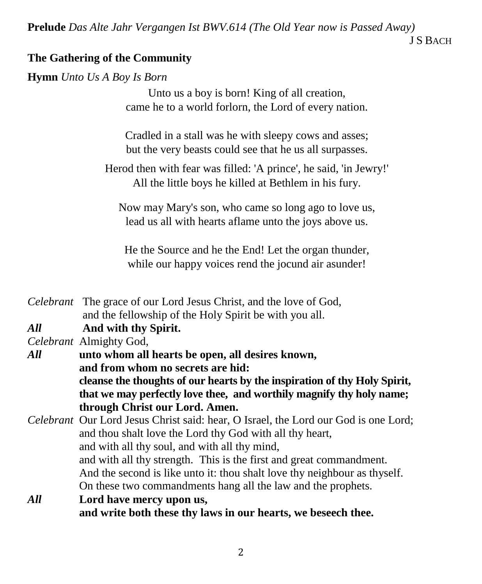**Prelude** *Das Alte Jahr Vergangen Ist BWV.614 (The Old Year now is Passed Away)*

#### J S BACH

### **The Gathering of the Community**

**Hymn** *Unto Us A Boy Is Born*

Unto us a boy is born! King of all creation, came he to a world forlorn, the Lord of every nation.

Cradled in a stall was he with sleepy cows and asses; but the very beasts could see that he us all surpasses.

Herod then with fear was filled: 'A prince', he said, 'in Jewry!' All the little boys he killed at Bethlem in his fury.

Now may Mary's son, who came so long ago to love us, lead us all with hearts aflame unto the joys above us.

He the Source and he the End! Let the organ thunder, while our happy voices rend the jocund air asunder!

*Celebrant* The grace of our Lord Jesus Christ, and the love of God, and the fellowship of the Holy Spirit be with you all.

*All* **And with thy Spirit.**

*Celebrant* Almighty God,

*All* **unto whom all hearts be open, all desires known, and from whom no secrets are hid: cleanse the thoughts of our hearts by the inspiration of thy Holy Spirit, that we may perfectly love thee, and worthily magnify thy holy name; through Christ our Lord. Amen.**

*Celebrant* Our Lord Jesus Christ said: hear, O Israel, the Lord our God is one Lord; and thou shalt love the Lord thy God with all thy heart, and with all thy soul, and with all thy mind, and with all thy strength. This is the first and great commandment. And the second is like unto it: thou shalt love thy neighbour as thyself. On these two commandments hang all the law and the prophets. *All* **Lord have mercy upon us,** 

**and write both these thy laws in our hearts, we beseech thee.**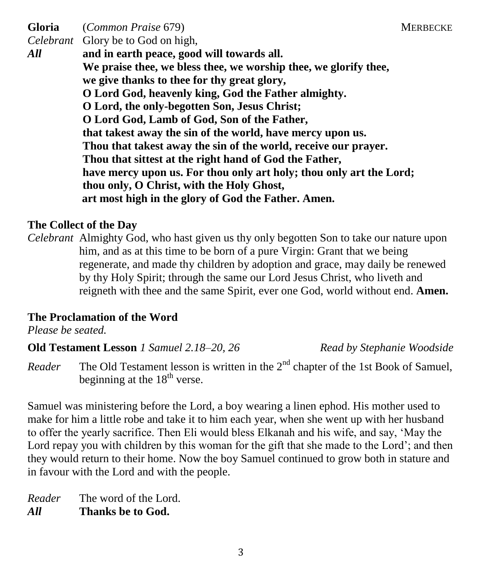**Gloria** (*Common Praise* 679) MERBECKE *Celebrant* Glory be to God on high, *All* **and in earth peace, good will towards all. We praise thee, we bless thee, we worship thee, we glorify thee, we give thanks to thee for thy great glory, O Lord God, heavenly king, God the Father almighty. O Lord, the only-begotten Son, Jesus Christ; O Lord God, Lamb of God, Son of the Father, that takest away the sin of the world, have mercy upon us. Thou that takest away the sin of the world, receive our prayer. Thou that sittest at the right hand of God the Father, have mercy upon us. For thou only art holy; thou only art the Lord; thou only, O Christ, with the Holy Ghost, art most high in the glory of God the Father. Amen.**

#### **The Collect of the Day**

*Celebrant* Almighty God, who hast given us thy only begotten Son to take our nature upon him, and as at this time to be born of a pure Virgin: Grant that we being regenerate, and made thy children by adoption and grace, may daily be renewed by thy Holy Spirit; through the same our Lord Jesus Christ, who liveth and reigneth with thee and the same Spirit, ever one God, world without end. **Amen.**

# **The Proclamation of the Word**

*Please be seated.*

**Old Testament Lesson** *1 Samuel 2.18–20, 26**Read by Stephanie Woodside* 

*Reader* The Old Testament lesson is written in the  $2<sup>nd</sup>$  chapter of the 1st Book of Samuel, beginning at the  $18<sup>th</sup>$  verse.

Samuel was ministering before the Lord, a boy wearing a linen ephod. His mother used to make for him a little robe and take it to him each year, when she went up with her husband to offer the yearly sacrifice. Then Eli would bless Elkanah and his wife, and say, 'May the Lord repay you with children by this woman for the gift that she made to the Lord'; and then they would return to their home. Now the boy Samuel continued to grow both in stature and in favour with the Lord and with the people.

*Reader* The word of the Lord. *All* **Thanks be to God.**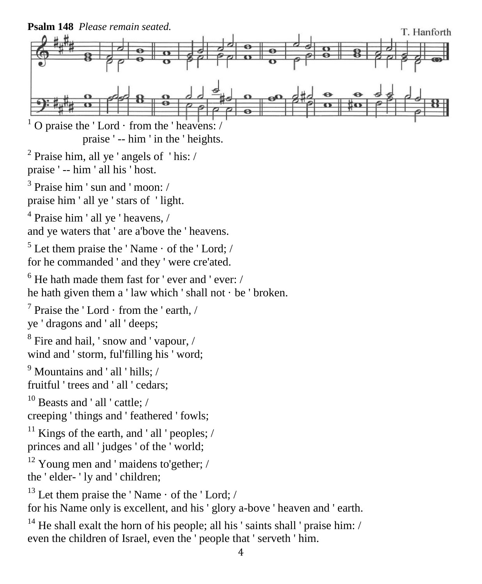

even the children of Israel, even the ' people that ' serveth ' him.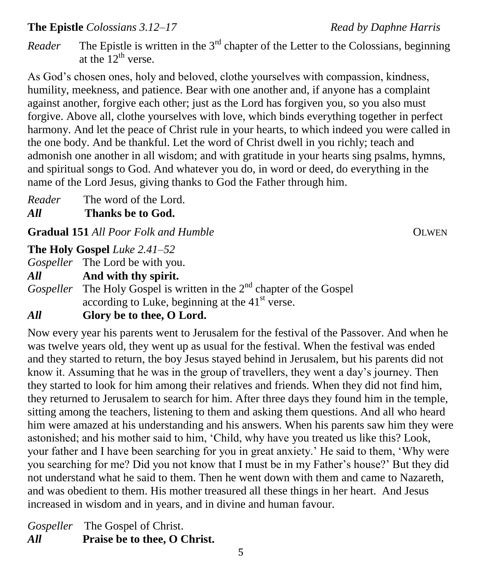# **The Epistle** *Colossians 3.12–17**Read by Daphne Harris*

*Reader* The Epistle is written in the 3<sup>rd</sup> chapter of the Letter to the Colossians, beginning at the  $12^{th}$  verse.

As God's chosen ones, holy and beloved, clothe yourselves with compassion, kindness, humility, meekness, and patience. Bear with one another and, if anyone has a complaint against another, forgive each other; just as the Lord has forgiven you, so you also must forgive. Above all, clothe yourselves with love, which binds everything together in perfect harmony. And let the peace of Christ rule in your hearts, to which indeed you were called in the one body. And be thankful. Let the word of Christ dwell in you richly; teach and admonish one another in all wisdom; and with gratitude in your hearts sing psalms, hymns, and spiritual songs to God. And whatever you do, in word or deed, do everything in the name of the Lord Jesus, giving thanks to God the Father through him.

*Reader* The word of the Lord.

*All* **Thanks be to God.** 

**Gradual 151** *All Poor Folk and Humble* OLWEN

**The Holy Gospel** *Luke 2.41–52*

*Gospeller* The Lord be with you.

*All* **And with thy spirit.**

 $Gospeller$  The Holy Gospel is written in the  $2<sup>nd</sup>$  chapter of the Gospel according to Luke, beginning at the  $41<sup>st</sup>$  verse.

# *All* **Glory be to thee, O Lord.**

Now every year his parents went to Jerusalem for the festival of the Passover. And when he was twelve years old, they went up as usual for the festival. When the festival was ended and they started to return, the boy Jesus stayed behind in Jerusalem, but his parents did not know it. Assuming that he was in the group of travellers, they went a day's journey. Then they started to look for him among their relatives and friends. When they did not find him, they returned to Jerusalem to search for him. After three days they found him in the temple, sitting among the teachers, listening to them and asking them questions. And all who heard him were amazed at his understanding and his answers. When his parents saw him they were astonished; and his mother said to him, 'Child, why have you treated us like this? Look, your father and I have been searching for you in great anxiety.' He said to them, 'Why were you searching for me? Did you not know that I must be in my Father's house?' But they did not understand what he said to them. Then he went down with them and came to Nazareth, and was obedient to them. His mother treasured all these things in her heart. And Jesus increased in wisdom and in years, and in divine and human favour.

*Gospeller* The Gospel of Christ. *All* **Praise be to thee, O Christ.**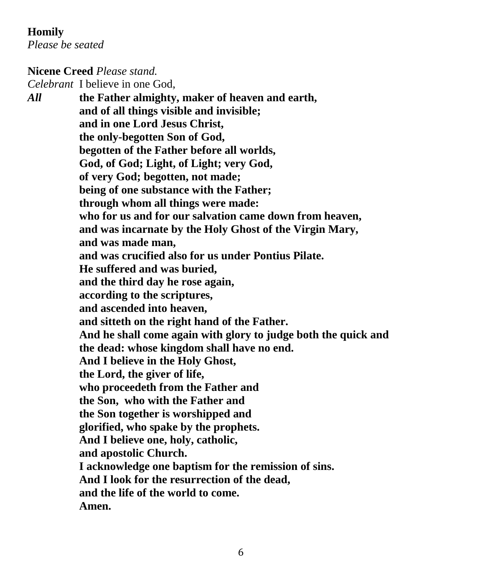#### **Homily**

*Please be seated*

**Nicene Creed** *Please stand. Celebrant* I believe in one God, *All* **the Father almighty, maker of heaven and earth, and of all things visible and invisible; and in one Lord Jesus Christ, the only-begotten Son of God, begotten of the Father before all worlds, God, of God; Light, of Light; very God, of very God; begotten, not made; being of one substance with the Father; through whom all things were made: who for us and for our salvation came down from heaven, and was incarnate by the Holy Ghost of the Virgin Mary, and was made man, and was crucified also for us under Pontius Pilate. He suffered and was buried, and the third day he rose again, according to the scriptures, and ascended into heaven, and sitteth on the right hand of the Father. And he shall come again with glory to judge both the quick and the dead: whose kingdom shall have no end. And I believe in the Holy Ghost, the Lord, the giver of life, who proceedeth from the Father and the Son, who with the Father and the Son together is worshipped and glorified, who spake by the prophets. And I believe one, holy, catholic, and apostolic Church. I acknowledge one baptism for the remission of sins. And I look for the resurrection of the dead, and the life of the world to come. Amen.**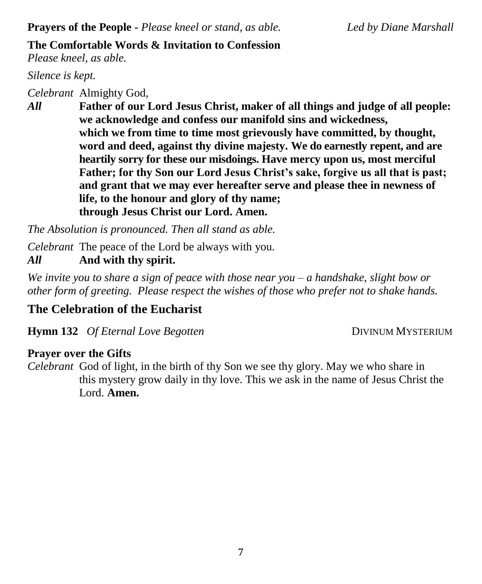### **Prayers of the People -** *Please kneel or stand, as able. Led by Diane Marshall*

### **The Comfortable Words & Invitation to Confession**

*Please kneel, as able.*

### *Silence is kept.*

*Celebrant* Almighty God,

*All* **Father of our Lord Jesus Christ, maker of all things and judge of all people: we acknowledge and confess our manifold sins and wickedness, which we from time to time most grievously have committed, by thought, word and deed, against thy divine majesty. We do earnestly repent, and are heartily sorry for these our misdoings. Have mercy upon us, most merciful Father; for thy Son our Lord Jesus Christ's sake, forgive us all that is past; and grant that we may ever hereafter serve and please thee in newness of life, to the honour and glory of thy name; through Jesus Christ our Lord. Amen.**

*The Absolution is pronounced. Then all stand as able.*

*Celebrant* The peace of the Lord be always with you.

# *All* **And with thy spirit.**

*We invite you to share a sign of peace with those near you – a handshake, slight bow or other form of greeting. Please respect the wishes of those who prefer not to shake hands.*

# **The Celebration of the Eucharist**

**Hymn 132** *Of Eternal Love Begotten* DIVINUM MYSTERIUM

# **Prayer over the Gifts**

*Celebrant* God of light, in the birth of thy Son we see thy glory. May we who share in this mystery grow daily in thy love. This we ask in the name of Jesus Christ the Lord. **Amen.**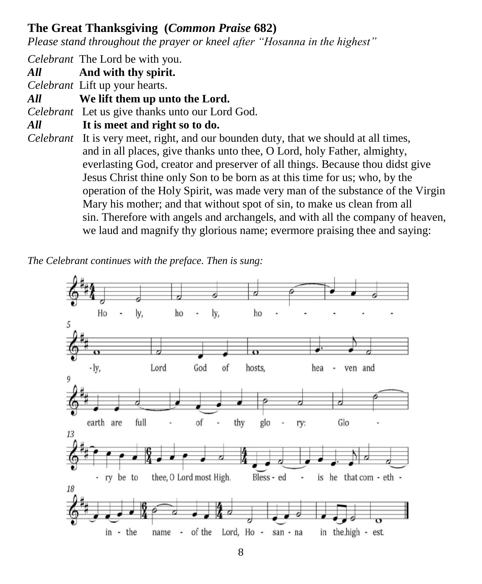# **The Great Thanksgiving (***Common Praise* **682)**

*Please stand throughout the prayer or kneel after "Hosanna in the highest"*

*Celebrant* The Lord be with you.

*All* **And with thy spirit.**

*Celebrant* Lift up your hearts.

*All* **We lift them up unto the Lord.**

*Celebrant* Let us give thanks unto our Lord God.

*All* **It is meet and right so to do.**

*Celebrant* It is very meet, right, and our bounden duty, that we should at all times, and in all places, give thanks unto thee, O Lord, holy Father, almighty, everlasting God, creator and preserver of all things. Because thou didst give Jesus Christ thine only Son to be born as at this time for us; who, by the operation of the Holy Spirit, was made very man of the substance of the Virgin Mary his mother; and that without spot of sin, to make us clean from all sin. Therefore with angels and archangels, and with all the company of heaven, we laud and magnify thy glorious name; evermore praising thee and saying:

*The Celebrant continues with the preface. Then is sung:*

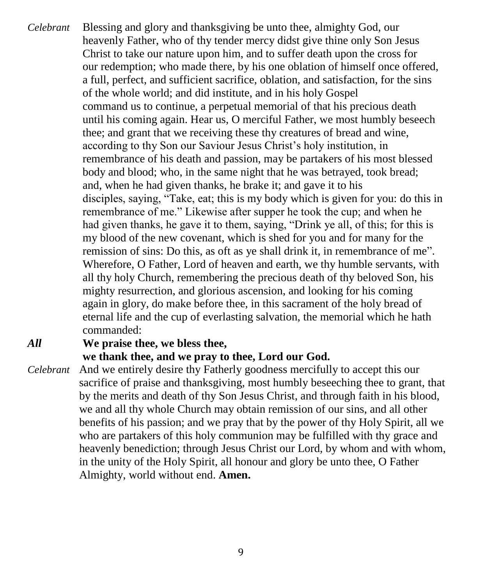*Celebrant* Blessing and glory and thanksgiving be unto thee, almighty God, our heavenly Father, who of thy tender mercy didst give thine only Son Jesus Christ to take our nature upon him, and to suffer death upon the cross for our redemption; who made there, by his one oblation of himself once offered, a full, perfect, and sufficient sacrifice, oblation, and satisfaction, for the sins of the whole world; and did institute, and in his holy Gospel command us to continue, a perpetual memorial of that his precious death until his coming again. Hear us, O merciful Father, we most humbly beseech thee; and grant that we receiving these thy creatures of bread and wine, according to thy Son our Saviour Jesus Christ's holy institution, in remembrance of his death and passion, may be partakers of his most blessed body and blood; who, in the same night that he was betrayed, took bread; and, when he had given thanks, he brake it; and gave it to his disciples, saying, "Take, eat; this is my body which is given for you: do this in remembrance of me." Likewise after supper he took the cup; and when he had given thanks, he gave it to them, saying, "Drink ye all, of this; for this is my blood of the new covenant, which is shed for you and for many for the remission of sins: Do this, as oft as ye shall drink it, in remembrance of me". Wherefore, O Father, Lord of heaven and earth, we thy humble servants, with all thy holy Church, remembering the precious death of thy beloved Son, his mighty resurrection, and glorious ascension, and looking for his coming again in glory, do make before thee, in this sacrament of the holy bread of eternal life and the cup of everlasting salvation, the memorial which he hath commanded:

#### *All* **We praise thee, we bless thee, we thank thee, and we pray to thee, Lord our God.**

*Celebrant* And we entirely desire thy Fatherly goodness mercifully to accept this our sacrifice of praise and thanksgiving, most humbly beseeching thee to grant, that by the merits and death of thy Son Jesus Christ, and through faith in his blood, we and all thy whole Church may obtain remission of our sins, and all other benefits of his passion; and we pray that by the power of thy Holy Spirit, all we who are partakers of this holy communion may be fulfilled with thy grace and heavenly benediction; through Jesus Christ our Lord, by whom and with whom, in the unity of the Holy Spirit, all honour and glory be unto thee, O Father Almighty, world without end. **Amen.**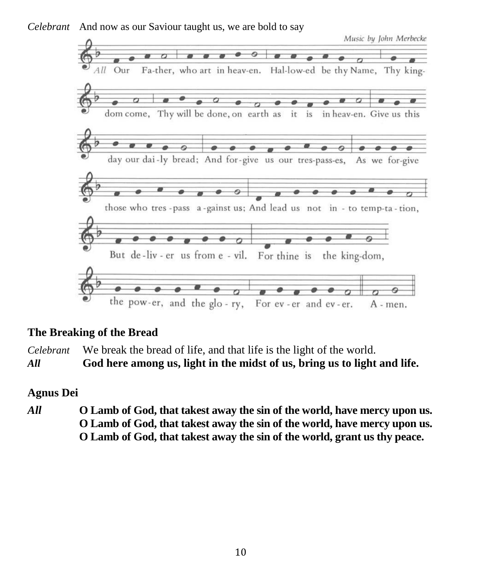*Celebrant* And now as our Saviour taught us, we are bold to say



#### **The Breaking of the Bread**

*Celebrant* We break the bread of life, and that life is the light of the world.

*All* **God here among us, light in the midst of us, bring us to light and life.**

#### **Agnus Dei**

*All* **O Lamb of God, that takest away the sin of the world, have mercy upon us. O Lamb of God, that takest away the sin of the world, have mercy upon us. O Lamb of God, that takest away the sin of the world, grant us thy peace.**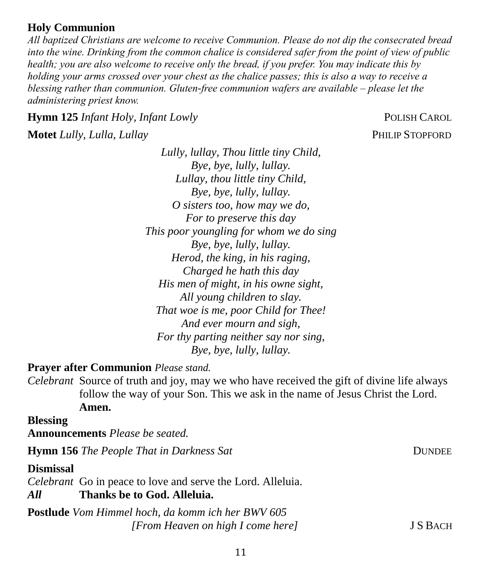#### **Holy Communion**

*All baptized Christians are welcome to receive Communion. Please do not dip the consecrated bread into the wine. Drinking from the common chalice is considered safer from the point of view of public health; you are also welcome to receive only the bread, if you prefer. You may indicate this by holding your arms crossed over your chest as the chalice passes; this is also a way to receive a blessing rather than communion. Gluten-free communion wafers are available – please let the administering priest know.*

**Hymn 125** *Infant Holy, Infant Lowly* **POLISH CAROL Motet** *Lully, Lulla, Lullay*PHILIP STOPFORD

*Lully, lullay, Thou little tiny Child, Bye, bye, lully, lullay. Lullay, thou little tiny Child, Bye, bye, lully, lullay. O sisters too, how may we do, For to preserve this day This poor youngling for whom we do sing Bye, bye, lully, lullay. Herod, the king, in his raging, Charged he hath this day His men of might, in his owne sight, All young children to slay. That woe is me, poor Child for Thee! And ever mourn and sigh, For thy parting neither say nor sing, Bye, bye, lully, lullay.*

#### **Prayer after Communion** *Please stand.*

*Celebrant* Source of truth and joy, may we who have received the gift of divine life always follow the way of your Son. This we ask in the name of Jesus Christ the Lord. **Amen.**

| <b>Blessing</b><br><b>Announcements</b> Please be seated.                                                                    |                 |
|------------------------------------------------------------------------------------------------------------------------------|-----------------|
| <b>Hymn 156</b> The People That in Darkness Sat                                                                              | <b>DUNDEE</b>   |
| <b>Dismissal</b><br><i>Celebrant</i> Go in peace to love and serve the Lord. Alleluia.<br>Thanks be to God. Alleluia.<br>All |                 |
| <b>Postlude</b> Vom Himmel hoch, da komm ich her BWV 605<br>[From Heaven on high I come here]                                | <b>J S BACH</b> |